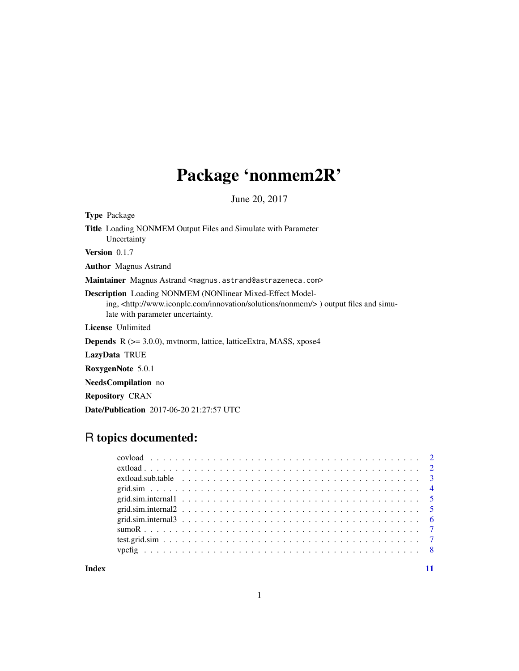# Package 'nonmem2R'

June 20, 2017

| <b>Type</b> Package                                                                                                                                                                                           |
|---------------------------------------------------------------------------------------------------------------------------------------------------------------------------------------------------------------|
| <b>Title</b> Loading NONMEM Output Files and Simulate with Parameter<br>Uncertainty                                                                                                                           |
| <b>Version</b> $0.1.7$                                                                                                                                                                                        |
| <b>Author</b> Magnus Astrand                                                                                                                                                                                  |
| <b>Maintainer</b> Magnus Astrand <magnus.astrand@astrazeneca.com></magnus.astrand@astrazeneca.com>                                                                                                            |
| <b>Description</b> Loading NONMEM (NONlinear Mixed-Effect Model-<br>ing, <http: innovation="" nonmem="" solutions="" www.iconplc.com=""></http:> ) output files and simu-<br>late with parameter uncertainty. |
| License Unlimited                                                                                                                                                                                             |
| <b>Depends</b> $R$ ( $>=$ 3.0.0), mythorm, lattice, lattice Extra, MASS, xpose4                                                                                                                               |
| LazyData TRUE                                                                                                                                                                                                 |
| RoxygenNote 5.0.1                                                                                                                                                                                             |
| <b>NeedsCompilation</b> no                                                                                                                                                                                    |
| <b>Repository CRAN</b>                                                                                                                                                                                        |
| <b>Date/Publication</b> 2017-06-20 21:27:57 UTC                                                                                                                                                               |
|                                                                                                                                                                                                               |

# R topics documented:

**Index** [11](#page-10-0)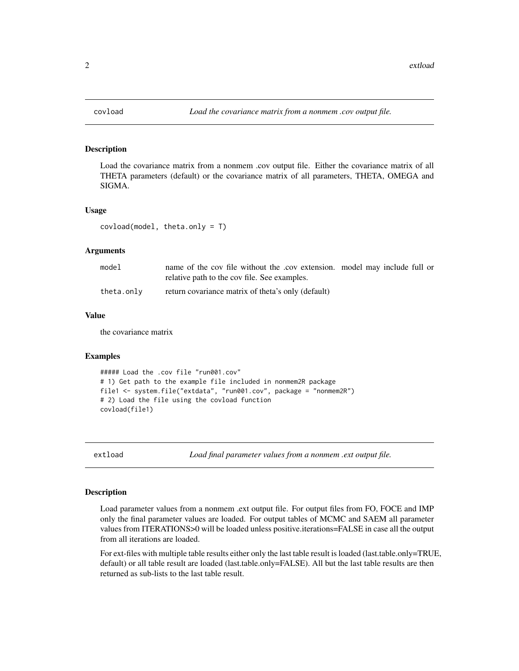<span id="page-1-0"></span>

# Description

Load the covariance matrix from a nonmem .cov output file. Either the covariance matrix of all THETA parameters (default) or the covariance matrix of all parameters, THETA, OMEGA and SIGMA.

#### Usage

covload(model, theta.only = T)

#### Arguments

| model      | name of the cov file without the .cov extension. model may include full or<br>relative path to the cov file. See examples. |  |  |
|------------|----------------------------------------------------------------------------------------------------------------------------|--|--|
| theta.only | return covariance matrix of theta's only (default)                                                                         |  |  |

#### Value

the covariance matrix

#### Examples

```
##### Load the .cov file "run001.cov"
# 1) Get path to the example file included in nonmem2R package
file1 <- system.file("extdata", "run001.cov", package = "nonmem2R")
# 2) Load the file using the covload function
covload(file1)
```
extload *Load final parameter values from a nonmem .ext output file.*

#### Description

Load parameter values from a nonmem .ext output file. For output files from FO, FOCE and IMP only the final parameter values are loaded. For output tables of MCMC and SAEM all parameter values from ITERATIONS>0 will be loaded unless positive.iterations=FALSE in case all the output from all iterations are loaded.

For ext-files with multiple table results either only the last table result is loaded (last.table.only=TRUE, default) or all table result are loaded (last.table.only=FALSE). All but the last table results are then returned as sub-lists to the last table result.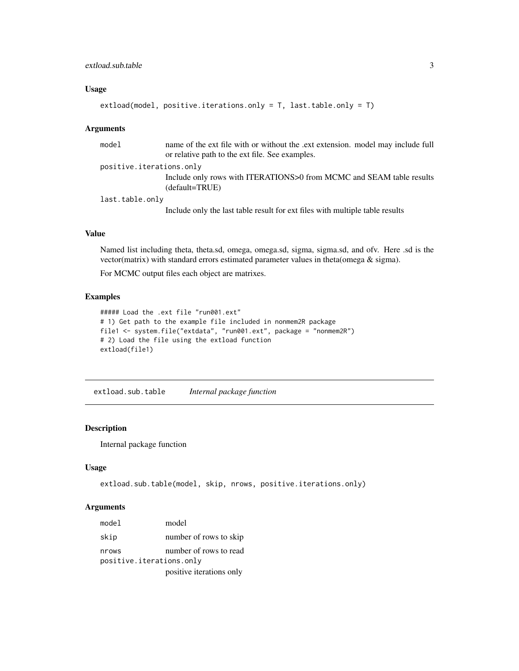#### <span id="page-2-0"></span>extload.sub.table 3

# Usage

```
extload(model, positive.iterations.only = T, last.table.only = T)
```
#### Arguments

| model                    | name of the ext file with or without the .ext extension. model may include full<br>or relative path to the ext file. See examples. |
|--------------------------|------------------------------------------------------------------------------------------------------------------------------------|
| positive.iterations.only |                                                                                                                                    |
|                          | Include only rows with ITERATIONS>0 from MCMC and SEAM table results<br>(default=TRUE)                                             |
| last.table.only          |                                                                                                                                    |
|                          | Include only the last table result for ext files with multiple table results                                                       |

# Value

Named list including theta, theta.sd, omega, omega.sd, sigma, sigma.sd, and ofv. Here .sd is the vector(matrix) with standard errors estimated parameter values in theta(omega & sigma).

For MCMC output files each object are matrixes.

#### Examples

```
##### Load the .ext file "run001.ext"
# 1) Get path to the example file included in nonmem2R package
file1 <- system.file("extdata", "run001.ext", package = "nonmem2R")
# 2) Load the file using the extload function
extload(file1)
```
extload.sub.table *Internal package function*

# Description

Internal package function

#### Usage

```
extload.sub.table(model, skip, nrows, positive.iterations.only)
```
#### Arguments

| model                    | model                    |
|--------------------------|--------------------------|
| skip                     | number of rows to skip   |
| nrows                    | number of rows to read   |
| positive.iterations.only |                          |
|                          | positive iterations only |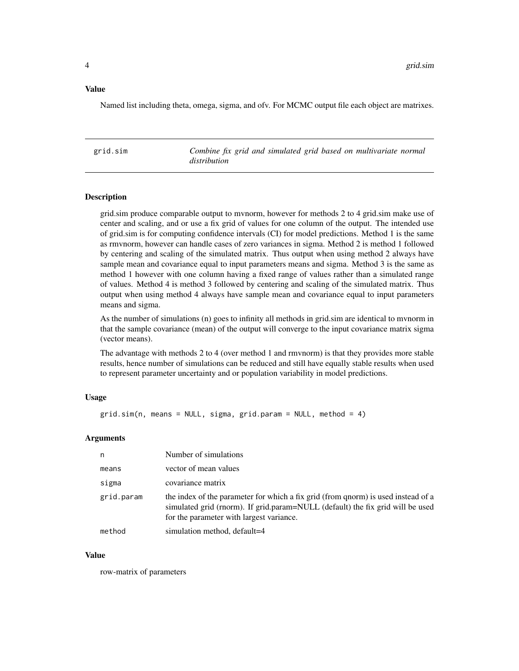#### <span id="page-3-0"></span>Value

Named list including theta, omega, sigma, and ofv. For MCMC output file each object are matrixes.

grid.sim *Combine fix grid and simulated grid based on multivariate normal distribution*

#### **Description**

grid.sim produce comparable output to mvnorm, however for methods 2 to 4 grid.sim make use of center and scaling, and or use a fix grid of values for one column of the output. The intended use of grid.sim is for computing confidence intervals (CI) for model predictions. Method 1 is the same as rmvnorm, however can handle cases of zero variances in sigma. Method 2 is method 1 followed by centering and scaling of the simulated matrix. Thus output when using method 2 always have sample mean and covariance equal to input parameters means and sigma. Method 3 is the same as method 1 however with one column having a fixed range of values rather than a simulated range of values. Method 4 is method 3 followed by centering and scaling of the simulated matrix. Thus output when using method 4 always have sample mean and covariance equal to input parameters means and sigma.

As the number of simulations (n) goes to infinity all methods in grid.sim are identical to mvnorm in that the sample covariance (mean) of the output will converge to the input covariance matrix sigma (vector means).

The advantage with methods 2 to 4 (over method 1 and rmvnorm) is that they provides more stable results, hence number of simulations can be reduced and still have equally stable results when used to represent parameter uncertainty and or population variability in model predictions.

#### Usage

grid.sim(n, means = NULL, sigma, grid.param = NULL, method = 4)

#### Arguments

| n          | Number of simulations                                                                                                                                                                                           |
|------------|-----------------------------------------------------------------------------------------------------------------------------------------------------------------------------------------------------------------|
| means      | vector of mean values                                                                                                                                                                                           |
| sigma      | covariance matrix                                                                                                                                                                                               |
| grid.param | the index of the parameter for which a fix grid (from qnorm) is used instead of a<br>simulated grid (rnorm). If grid.param=NULL (default) the fix grid will be used<br>for the parameter with largest variance. |
| method     | simulation method, default=4                                                                                                                                                                                    |

#### Value

row-matrix of parameters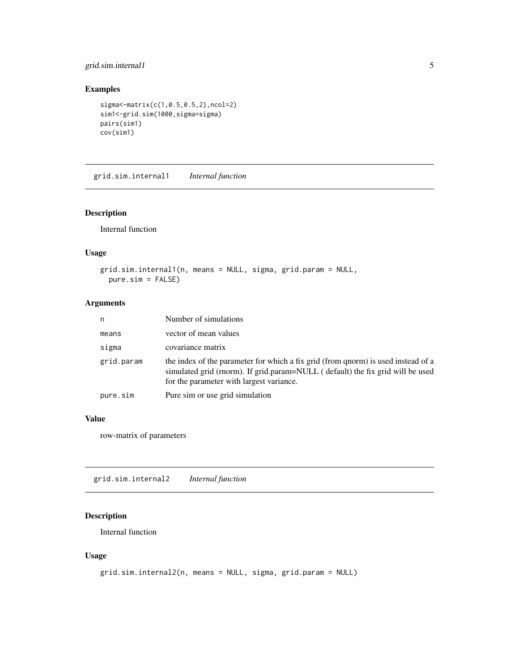# <span id="page-4-0"></span>grid.sim.internal1 5

# Examples

```
sigma<-matrix(c(1,0.5,0.5,2),ncol=2)
sim1<-grid.sim(1000,sigma=sigma)
pairs(sim1)
cov(sim1)
```
grid.sim.internal1 *Internal function*

# Description

Internal function

# Usage

```
grid.sim.internal1(n, means = NULL, sigma, grid.param = NULL,
 pure.sim = FALSE)
```
# Arguments

| n          | Number of simulations                                                                                                                                                                                           |
|------------|-----------------------------------------------------------------------------------------------------------------------------------------------------------------------------------------------------------------|
| means      | vector of mean values                                                                                                                                                                                           |
| sigma      | covariance matrix                                                                                                                                                                                               |
| grid.param | the index of the parameter for which a fix grid (from qnorm) is used instead of a<br>simulated grid (rnorm). If grid.param=NULL (default) the fix grid will be used<br>for the parameter with largest variance. |
| pure.sim   | Pure sim or use grid simulation                                                                                                                                                                                 |

# Value

row-matrix of parameters

grid.sim.internal2 *Internal function*

# Description

Internal function

#### Usage

```
grid.sim.internal2(n, means = NULL, sigma, grid.param = NULL)
```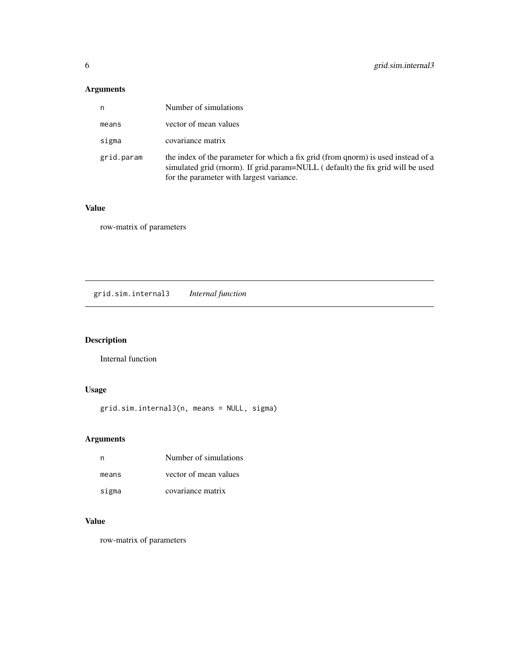# <span id="page-5-0"></span>Arguments

| n          | Number of simulations                                                                                                                                                                                           |
|------------|-----------------------------------------------------------------------------------------------------------------------------------------------------------------------------------------------------------------|
| means      | vector of mean values                                                                                                                                                                                           |
| sigma      | covariance matrix                                                                                                                                                                                               |
| grid.param | the index of the parameter for which a fix grid (from qnorm) is used instead of a<br>simulated grid (rnorm). If grid.param=NULL (default) the fix grid will be used<br>for the parameter with largest variance. |

# Value

row-matrix of parameters

grid.sim.internal3 *Internal function*

# Description

Internal function

# Usage

grid.sim.internal3(n, means = NULL, sigma)

# Arguments

| n     | Number of simulations |
|-------|-----------------------|
| means | vector of mean values |
| sigma | covariance matrix     |

# Value

row-matrix of parameters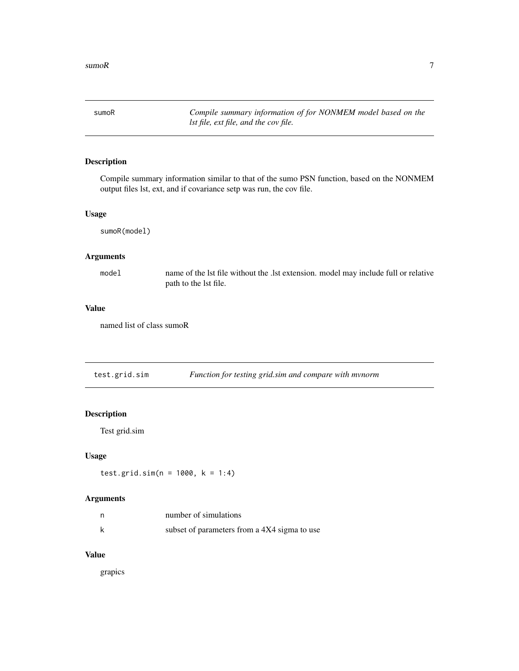<span id="page-6-0"></span>sumoR *Compile summary information of for NONMEM model based on the lst file, ext file, and the cov file.*

# Description

Compile summary information similar to that of the sumo PSN function, based on the NONMEM output files lst, ext, and if covariance setp was run, the cov file.

#### Usage

sumoR(model)

# Arguments

model name of the lst file without the .lst extension. model may include full or relative path to the lst file.

#### Value

named list of class sumoR

test.grid.sim *Function for testing grid.sim and compare with mvnorm*

# Description

Test grid.sim

# Usage

test.grid.sim(n = 1000, k = 1:4)

# Arguments

|   | number of simulations                        |
|---|----------------------------------------------|
| k | subset of parameters from a 4X4 sigma to use |

# Value

grapics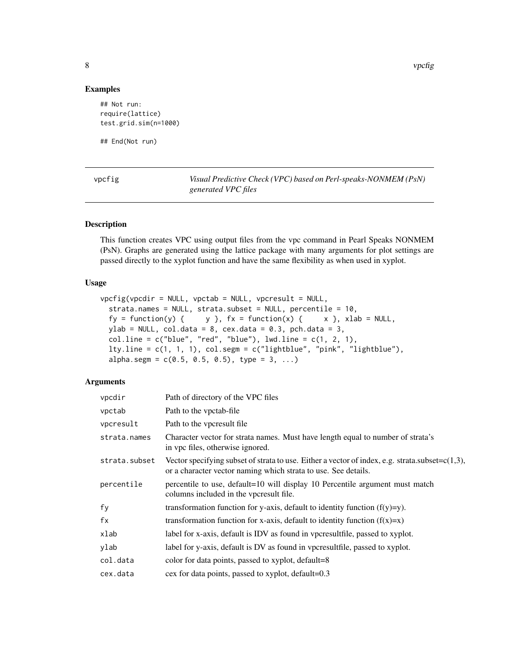8 vpcfig

#### Examples

```
## Not run:
require(lattice)
test.grid.sim(n=1000)
```
## End(Not run)

| r | г<br>ા |  |
|---|--------|--|
|   |        |  |
|   |        |  |
|   |        |  |

Visual Predictive Check (VPC) based on Perl-speaks-NONMEM (PsN) *generated VPC files*

# Description

This function creates VPC using output files from the vpc command in Pearl Speaks NONMEM (PsN). Graphs are generated using the lattice package with many arguments for plot settings are passed directly to the xyplot function and have the same flexibility as when used in xyplot.

#### Usage

```
vpcfig(vpcdir = NULL, vpctab = NULL, vpcresult = NULL,strata.names = NULL, strata.subset = NULL, percentile = 10,
 fy = function(y) { y \}, fx = function(x) { x \}, x lab = NULL,ylab = NULL, col.data = 8, cex.data = 0.3, pch.data = 3,
  col .line = <math>c("blue", "red", "blue"), lwd.line = c(1, 2, 1),lty.line = c(1, 1, 1), col.segm = c("lightblue", "pink", "lightblue"),
  alpha.segm = c(0.5, 0.5, 0.5), type = 3, ...)
```
# Arguments

| Path of directory of the VPC files                                                                                                                                    |
|-----------------------------------------------------------------------------------------------------------------------------------------------------------------------|
| Path to the vpctab-file                                                                                                                                               |
| Path to the vpcresult file.                                                                                                                                           |
| Character vector for strata names. Must have length equal to number of strata's<br>in vpc files, otherwise ignored.                                                   |
| Vector specifying subset of strata to use. Either a vector of index, e.g. strata.subset= $c(1,3)$ ,<br>or a character vector naming which strata to use. See details. |
| percentile to use, default=10 will display 10 Percentile argument must match<br>columns included in the vpcresult file.                                               |
| transformation function for y-axis, default to identity function $(f(y)=y)$ .                                                                                         |
| transformation function for x-axis, default to identity function $(f(x)=x)$                                                                                           |
| label for x-axis, default is IDV as found in vpcresultfile, passed to xyplot.                                                                                         |
| label for y-axis, default is DV as found in vpcresultfile, passed to xyplot.                                                                                          |
| color for data points, passed to xyplot, default=8                                                                                                                    |
| cex for data points, passed to xyplot, default=0.3                                                                                                                    |
|                                                                                                                                                                       |

<span id="page-7-0"></span>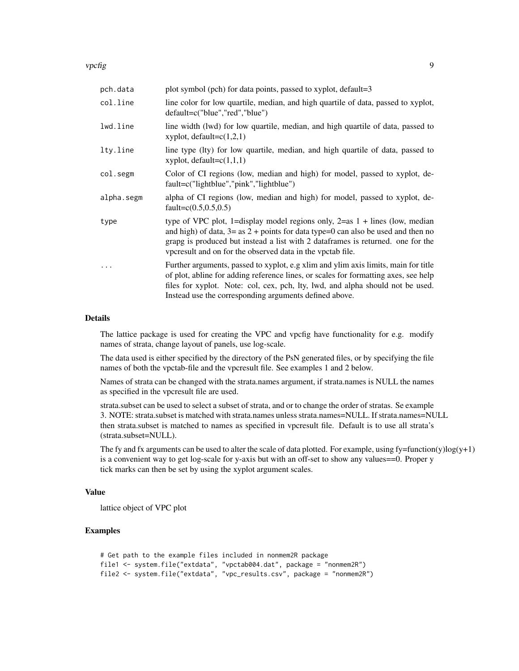vpcfig 9

| pch.data   | plot symbol (pch) for data points, passed to xyplot, default=3                                                                                                                                                                                                                                                         |
|------------|------------------------------------------------------------------------------------------------------------------------------------------------------------------------------------------------------------------------------------------------------------------------------------------------------------------------|
| col.line   | line color for low quartile, median, and high quartile of data, passed to xyplot,<br>default=c("blue","red","blue")                                                                                                                                                                                                    |
| lwd.line   | line width (lwd) for low quartile, median, and high quartile of data, passed to<br>xyplot, $default=c(1,2,1)$                                                                                                                                                                                                          |
| lty.line   | line type (lty) for low quartile, median, and high quartile of data, passed to<br>xyplot, $default=c(1,1,1)$                                                                                                                                                                                                           |
| col.segm   | Color of CI regions (low, median and high) for model, passed to xyplot, de-<br>fault=c("lightblue","pink","lightblue")                                                                                                                                                                                                 |
| alpha.segm | alpha of CI regions (low, median and high) for model, passed to xyplot, de-<br>fault= $c(0.5, 0.5, 0.5)$                                                                                                                                                                                                               |
| type       | type of VPC plot, 1=display model regions only, $2=$ as 1 + lines (low, median<br>and high) of data, $3 = as 2 + points$ for data type=0 can also be used and then no<br>grapg is produced but instead a list with 2 dataframes is returned. one for the<br>vpcresult and on for the observed data in the vpctab file. |
| $\cdots$   | Further arguments, passed to xyplot, e.g xlim and ylim axis limits, main for title<br>of plot, abline for adding reference lines, or scales for formatting axes, see help<br>files for xyplot. Note: col, cex, pch, lty, lwd, and alpha should not be used.<br>Instead use the corresponding arguments defined above.  |

#### Details

The lattice package is used for creating the VPC and vpcfig have functionality for e.g. modify names of strata, change layout of panels, use log-scale.

The data used is either specified by the directory of the PsN generated files, or by specifying the file names of both the vpctab-file and the vpcresult file. See examples 1 and 2 below.

Names of strata can be changed with the strata.names argument, if strata.names is NULL the names as specified in the vpcresult file are used.

strata.subset can be used to select a subset of strata, and or to change the order of stratas. Se example 3. NOTE: strata.subset is matched with strata.names unless strata.names=NULL. If strata.names=NULL then strata.subset is matched to names as specified in vpcresult file. Default is to use all strata's (strata.subset=NULL).

The fy and fx arguments can be used to alter the scale of data plotted. For example, using  $f_y=f$ unction(y)log(y+1) is a convenient way to get log-scale for y-axis but with an off-set to show any values==0. Proper y tick marks can then be set by using the xyplot argument scales.

#### Value

lattice object of VPC plot

# Examples

```
# Get path to the example files included in nonmem2R package
file1 <- system.file("extdata", "vpctab004.dat", package = "nonmem2R")
file2 <- system.file("extdata", "vpc_results.csv", package = "nonmem2R")
```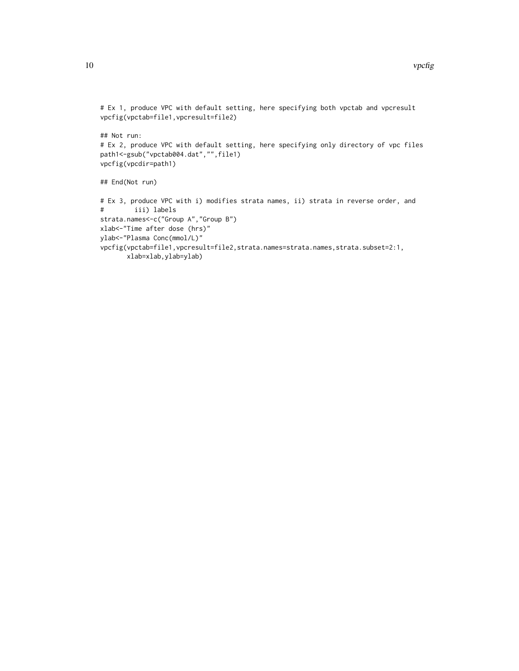```
# Ex 1, produce VPC with default setting, here specifying both vpctab and vpcresult
vpcfig(vpctab=file1,vpcresult=file2)
```
## Not run: # Ex 2, produce VPC with default setting, here specifying only directory of vpc files path1<-gsub("vpctab004.dat","",file1) vpcfig(vpcdir=path1)

```
## End(Not run)
```

```
# Ex 3, produce VPC with i) modifies strata names, ii) strata in reverse order, and
# iii) labels
strata.names<-c("Group A","Group B")
xlab<-"Time after dose (hrs)"
ylab<-"Plasma Conc(mmol/L)"
vpcfig(vpctab=file1,vpcresult=file2,strata.names=strata.names,strata.subset=2:1,
       xlab=xlab,ylab=ylab)
```